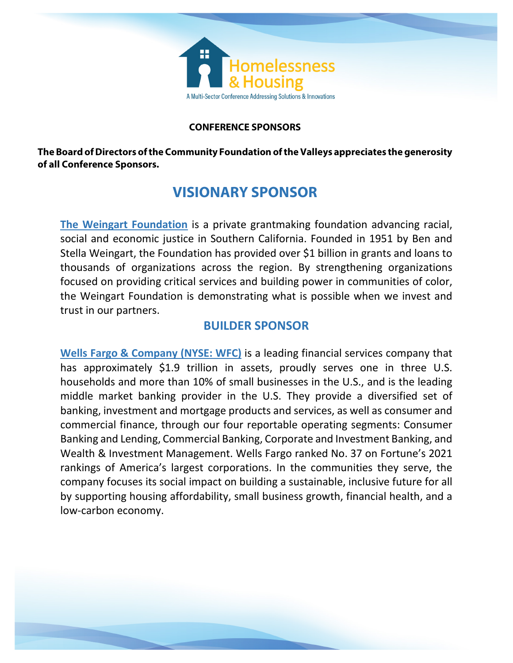

### **CONFERENCE SPONSORS**

**The Board of Directors of the Community Foundation of the Valleys appreciates the generosity of all Conference Sponsors.**

# **VISIONARY SPONSOR**

**The Weingart Foundation** is a private grantmaking foundation advancing racial, social and economic justice in Southern California. Founded in 1951 by Ben and Stella Weingart, the Foundation has provided over \$1 billion in grants and loans to thousands of organizations across the region. By strengthening organizations focused on providing critical services and building power in communities of color, the Weingart Foundation is demonstrating what is possible when we invest and trust in our partners.

## **BUILDER SPONSOR**

**Wells Fargo & Company (NYSE: WFC)** is a leading financial services company that has approximately \$1.9 trillion in assets, proudly serves one in three U.S. households and more than 10% of small businesses in the U.S., and is the leading middle market banking provider in the U.S. They provide a diversified set of banking, investment and mortgage products and services, as well as consumer and commercial finance, through our four reportable operating segments: Consumer Banking and Lending, Commercial Banking, Corporate and Investment Banking, and Wealth & Investment Management. Wells Fargo ranked No. 37 on Fortune's 2021 rankings of America's largest corporations. In the communities they serve, the company focuses its social impact on building a sustainable, inclusive future for all by supporting housing affordability, small business growth, financial health, and a low-carbon economy.